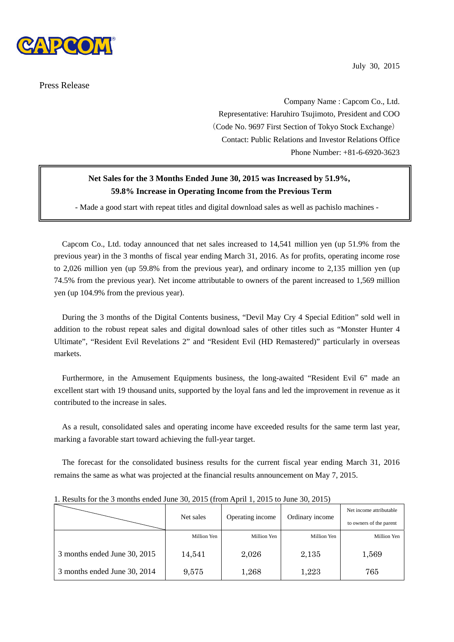

Press Release

July 30, 2015

 Company Name : Capcom Co., Ltd. Representative: Haruhiro Tsujimoto, President and COO (Code No. 9697 First Section of Tokyo Stock Exchange) Contact: Public Relations and Investor Relations Office Phone Number: +81-6-6920-3623

# **Net Sales for the 3 Months Ended June 30, 2015 was Increased by 51.9%, 59.8% Increase in Operating Income from the Previous Term**

- Made a good start with repeat titles and digital download sales as well as pachislo machines -

Capcom Co., Ltd. today announced that net sales increased to 14,541 million yen (up 51.9% from the previous year) in the 3 months of fiscal year ending March 31, 2016. As for profits, operating income rose to 2,026 million yen (up 59.8% from the previous year), and ordinary income to 2,135 million yen (up 74.5% from the previous year). Net income attributable to owners of the parent increased to 1,569 million yen (up 104.9% from the previous year).

During the 3 months of the Digital Contents business, "Devil May Cry 4 Special Edition" sold well in addition to the robust repeat sales and digital download sales of other titles such as "Monster Hunter 4 Ultimate", "Resident Evil Revelations 2" and "Resident Evil (HD Remastered)" particularly in overseas markets.

Furthermore, in the Amusement Equipments business, the long-awaited "Resident Evil 6" made an excellent start with 19 thousand units, supported by the loyal fans and led the improvement in revenue as it contributed to the increase in sales.

As a result, consolidated sales and operating income have exceeded results for the same term last year, marking a favorable start toward achieving the full-year target.

The forecast for the consolidated business results for the current fiscal year ending March 31, 2016 remains the same as what was projected at the financial results announcement on May 7, 2015.

|                              | Net sales   |                  |                 | Net income attributable |
|------------------------------|-------------|------------------|-----------------|-------------------------|
|                              |             | Operating income | Ordinary income | to owners of the parent |
|                              | Million Yen | Million Yen      | Million Yen     | Million Yen             |
| 3 months ended June 30, 2015 | 14,541      | 2,026            | 2,135           | 1,569                   |
| 3 months ended June 30, 2014 | 9,575       | 1,268            | 1,223           | 765                     |

1. Results for the 3 months ended June 30, 2015 (from April 1, 2015 to June 30, 2015)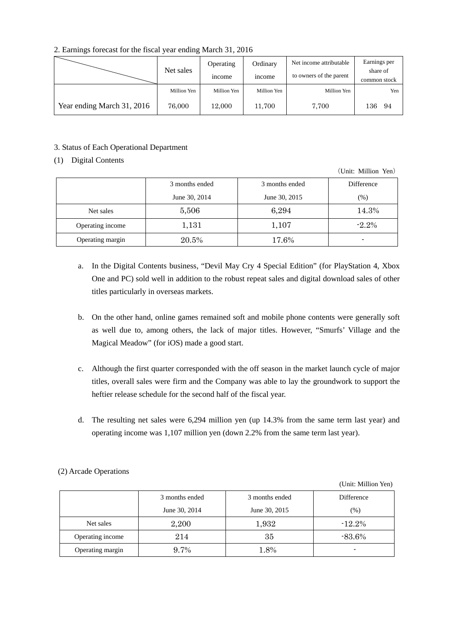## 2. Earnings forecast for the fiscal year ending March 31, 2016

|                            |             | Operating     | Ordinary      | Net income attributable | Earnings per             |
|----------------------------|-------------|---------------|---------------|-------------------------|--------------------------|
|                            | Net sales   | <i>n</i> come | <i>n</i> come | to owners of the parent | share of<br>common stock |
|                            | Million Yen | Million Yen   | Million Yen   | Million Yen             | Yen                      |
| Year ending March 31, 2016 | 76,000      | 12,000        | 11,700        | 7.700                   | 136<br>94                |

#### 3. Status of Each Operational Department

### (1) Digital Contents

(Unit: Million Yen)

|                  | 3 months ended | 3 months ended | Difference |
|------------------|----------------|----------------|------------|
|                  | June 30, 2014  | June 30, 2015  | (%)        |
| Net sales        | 5,506          | 6,294          | 14.3%      |
| Operating income | 1,131          | 1,107          | $-2.2\%$   |
| Operating margin | 20.5%          | 17.6%          |            |

- a. In the Digital Contents business, "Devil May Cry 4 Special Edition" (for PlayStation 4, Xbox One and PC) sold well in addition to the robust repeat sales and digital download sales of other titles particularly in overseas markets.
- b. On the other hand, online games remained soft and mobile phone contents were generally soft as well due to, among others, the lack of major titles. However, "Smurfs' Village and the Magical Meadow" (for iOS) made a good start.
- c. Although the first quarter corresponded with the off season in the market launch cycle of major titles, overall sales were firm and the Company was able to lay the groundwork to support the heftier release schedule for the second half of the fiscal year.
- d. The resulting net sales were 6,294 million yen (up 14.3% from the same term last year) and operating income was 1,107 million yen (down 2.2% from the same term last year).

|                  | 3 months ended | 3 months ended | Difference |
|------------------|----------------|----------------|------------|
|                  | June 30, 2014  | June 30, 2015  | (%)        |
| Net sales        | 2,200          | 1,932          | $-12.2%$   |
| Operating income | 214            | 35             | $-83.6\%$  |
| Operating margin | 9.7%           | 1.8%           |            |

(2) Arcade Operations

(Unit: Million Yen)